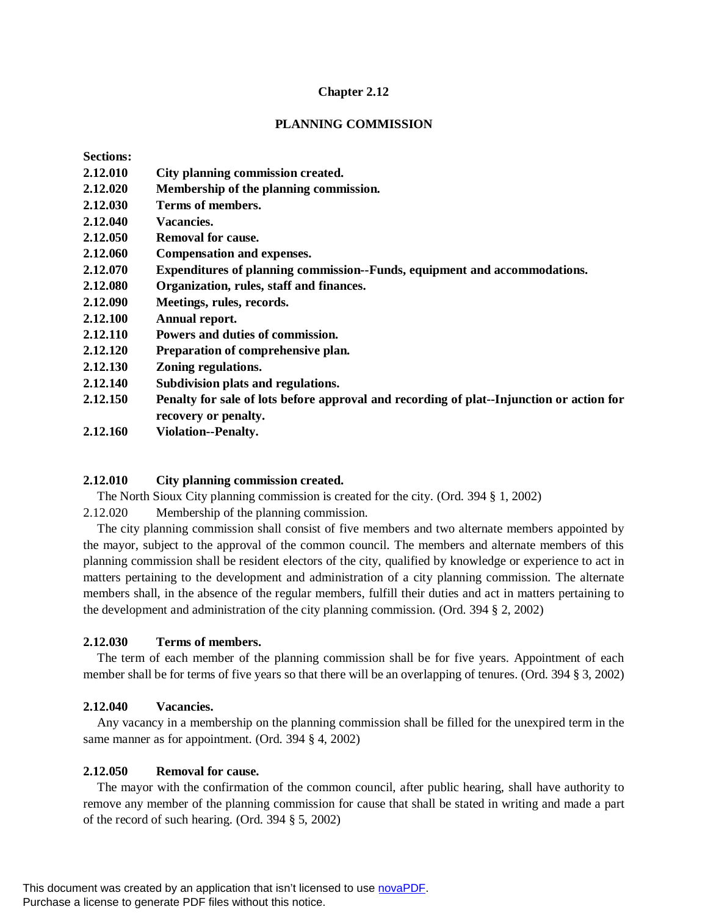#### **Chapter 2.12**

#### **PLANNING COMMISSION**

| <b>Sections:</b> |                                                                                          |
|------------------|------------------------------------------------------------------------------------------|
| 2.12.010         | City planning commission created.                                                        |
| 2.12.020         | Membership of the planning commission.                                                   |
| 2.12.030         | Terms of members.                                                                        |
| 2.12.040         | Vacancies.                                                                               |
| 2.12.050         | <b>Removal for cause.</b>                                                                |
| 2.12.060         | <b>Compensation and expenses.</b>                                                        |
| 2.12.070         | Expenditures of planning commission--Funds, equipment and accommodations.                |
| 2.12.080         | Organization, rules, staff and finances.                                                 |
| 2.12.090         | Meetings, rules, records.                                                                |
| 2.12.100         | Annual report.                                                                           |
| 2.12.110         | Powers and duties of commission.                                                         |
| 2.12.120         | Preparation of comprehensive plan.                                                       |
| 2.12.130         | Zoning regulations.                                                                      |
| 2.12.140         | Subdivision plats and regulations.                                                       |
| 2.12.150         | Penalty for sale of lots before approval and recording of plat--Injunction or action for |
|                  | recovery or penalty.                                                                     |
| 2.12.160         | <b>Violation--Penalty.</b>                                                               |
|                  |                                                                                          |

#### **2.12.010 City planning commission created.**

The North Sioux City planning commission is created for the city. (Ord. 394 § 1, 2002)

2.12.020 Membership of the planning commission.

The city planning commission shall consist of five members and two alternate members appointed by the mayor, subject to the approval of the common council. The members and alternate members of this planning commission shall be resident electors of the city, qualified by knowledge or experience to act in matters pertaining to the development and administration of a city planning commission. The alternate members shall, in the absence of the regular members, fulfill their duties and act in matters pertaining to the development and administration of the city planning commission. (Ord. 394 § 2, 2002)

#### **2.12.030 Terms of members.**

The term of each member of the planning commission shall be for five years. Appointment of each member shall be for terms of five years so that there will be an overlapping of tenures. (Ord. 394 § 3, 2002)

#### **2.12.040 Vacancies.**

Any vacancy in a membership on the planning commission shall be filled for the unexpired term in the same manner as for appointment. (Ord. 394 § 4, 2002)

### **2.12.050 Removal for cause.**

The mayor with the confirmation of the common council, after public hearing, shall have authority to remove any member of the planning commission for cause that shall be stated in writing and made a part of the record of such hearing. (Ord. 394 § 5, 2002)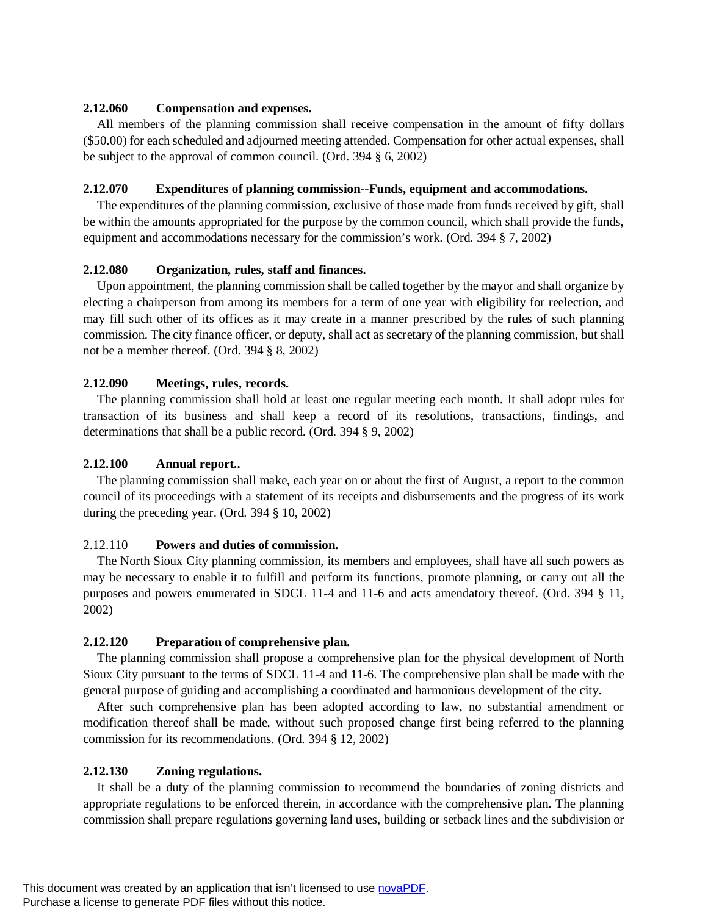### **2.12.060 Compensation and expenses.**

All members of the planning commission shall receive compensation in the amount of fifty dollars (\$50.00) for each scheduled and adjourned meeting attended. Compensation for other actual expenses, shall be subject to the approval of common council. (Ord. 394 § 6, 2002)

## **2.12.070 Expenditures of planning commission--Funds, equipment and accommodations.**

The expenditures of the planning commission, exclusive of those made from funds received by gift, shall be within the amounts appropriated for the purpose by the common council, which shall provide the funds, equipment and accommodations necessary for the commission's work. (Ord. 394 § 7, 2002)

## **2.12.080 Organization, rules, staff and finances.**

Upon appointment, the planning commission shall be called together by the mayor and shall organize by electing a chairperson from among its members for a term of one year with eligibility for reelection, and may fill such other of its offices as it may create in a manner prescribed by the rules of such planning commission. The city finance officer, or deputy, shall act as secretary of the planning commission, but shall not be a member thereof. (Ord. 394 § 8, 2002)

## **2.12.090 Meetings, rules, records.**

The planning commission shall hold at least one regular meeting each month. It shall adopt rules for transaction of its business and shall keep a record of its resolutions, transactions, findings, and determinations that shall be a public record. (Ord. 394 § 9, 2002)

## **2.12.100 Annual report..**

The planning commission shall make, each year on or about the first of August, a report to the common council of its proceedings with a statement of its receipts and disbursements and the progress of its work during the preceding year. (Ord. 394 § 10, 2002)

## 2.12.110 **Powers and duties of commission.**

The North Sioux City planning commission, its members and employees, shall have all such powers as may be necessary to enable it to fulfill and perform its functions, promote planning, or carry out all the purposes and powers enumerated in SDCL 11-4 and 11-6 and acts amendatory thereof. (Ord. 394 § 11, 2002)

# **2.12.120 Preparation of comprehensive plan.**

The planning commission shall propose a comprehensive plan for the physical development of North Sioux City pursuant to the terms of SDCL 11-4 and 11-6. The comprehensive plan shall be made with the general purpose of guiding and accomplishing a coordinated and harmonious development of the city.

After such comprehensive plan has been adopted according to law, no substantial amendment or modification thereof shall be made, without such proposed change first being referred to the planning commission for its recommendations. (Ord. 394 § 12, 2002)

## **2.12.130 Zoning regulations.**

It shall be a duty of the planning commission to recommend the boundaries of zoning districts and appropriate regulations to be enforced therein, in accordance with the comprehensive plan. The planning commission shall prepare regulations governing land uses, building or setback lines and the subdivision or